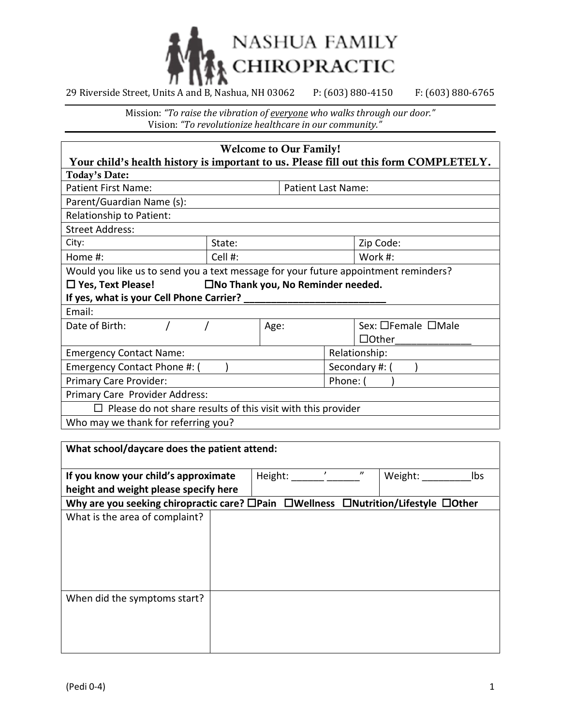

| <b>Welcome to Our Family!</b>                                                       |                     |                           |  |                                                                                       |
|-------------------------------------------------------------------------------------|---------------------|---------------------------|--|---------------------------------------------------------------------------------------|
|                                                                                     |                     |                           |  | Your child's health history is important to us. Please fill out this form COMPLETELY. |
| Today's Date:                                                                       |                     |                           |  |                                                                                       |
| <b>Patient First Name:</b>                                                          |                     | <b>Patient Last Name:</b> |  |                                                                                       |
| Parent/Guardian Name (s):                                                           |                     |                           |  |                                                                                       |
| Relationship to Patient:                                                            |                     |                           |  |                                                                                       |
| <b>Street Address:</b>                                                              |                     |                           |  |                                                                                       |
| City:                                                                               | Zip Code:<br>State: |                           |  |                                                                                       |
| Home #:                                                                             | Cell #:<br>Work #:  |                           |  |                                                                                       |
| Would you like us to send you a text message for your future appointment reminders? |                     |                           |  |                                                                                       |
| $\square$ No Thank you, No Reminder needed.<br>$\Box$ Yes, Text Please!             |                     |                           |  |                                                                                       |
| If yes, what is your Cell Phone Carrier?                                            |                     |                           |  |                                                                                       |
| Email:                                                                              |                     |                           |  |                                                                                       |
| Sex: □Female □Male<br>Date of Birth:<br>Age:                                        |                     |                           |  |                                                                                       |
|                                                                                     |                     |                           |  | $\Box$ Other                                                                          |
| Relationship:<br><b>Emergency Contact Name:</b>                                     |                     |                           |  |                                                                                       |
| Emergency Contact Phone #: (<br>Secondary #: (                                      |                     |                           |  |                                                                                       |
| Primary Care Provider:<br>Phone: (                                                  |                     |                           |  |                                                                                       |
| Primary Care Provider Address:                                                      |                     |                           |  |                                                                                       |
| Please do not share results of this visit with this provider                        |                     |                           |  |                                                                                       |
| Who may we thank for referring you?                                                 |                     |                           |  |                                                                                       |

| What school/daycare does the patient attend:                                       |  |         |  |                   |         |     |
|------------------------------------------------------------------------------------|--|---------|--|-------------------|---------|-----|
| If you know your child's approximate                                               |  | Height: |  | $^{\prime\prime}$ | Weight: | Ibs |
| height and weight please specify here                                              |  |         |  |                   |         |     |
| Why are you seeking chiropractic care? □Pain □Wellness □Nutrition/Lifestyle □Other |  |         |  |                   |         |     |
| What is the area of complaint?                                                     |  |         |  |                   |         |     |
|                                                                                    |  |         |  |                   |         |     |
|                                                                                    |  |         |  |                   |         |     |
|                                                                                    |  |         |  |                   |         |     |
|                                                                                    |  |         |  |                   |         |     |
|                                                                                    |  |         |  |                   |         |     |
| When did the symptoms start?                                                       |  |         |  |                   |         |     |
|                                                                                    |  |         |  |                   |         |     |
|                                                                                    |  |         |  |                   |         |     |
|                                                                                    |  |         |  |                   |         |     |
|                                                                                    |  |         |  |                   |         |     |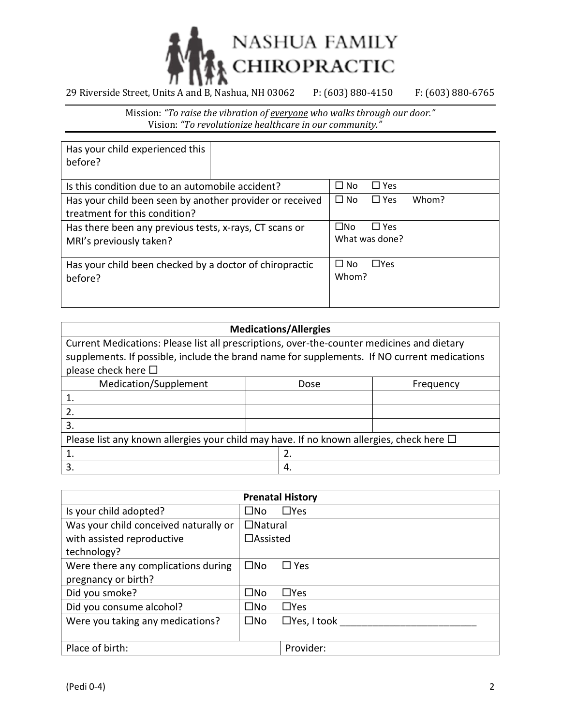

| Has your child experienced this<br>before?               |  |              |                |       |
|----------------------------------------------------------|--|--------------|----------------|-------|
| Is this condition due to an automobile accident?         |  | $\Box$ No    | $\Box$ Yes     |       |
| Has your child been seen by another provider or received |  | $\Box$ No    | $\Box$ Yes     | Whom? |
| treatment for this condition?                            |  |              |                |       |
| Has there been any previous tests, x-rays, CT scans or   |  | $\square$ No | $\Box$ Yes     |       |
| MRI's previously taken?                                  |  |              | What was done? |       |
|                                                          |  |              |                |       |
| Has your child been checked by a doctor of chiropractic  |  | $\Box$ No    | $\Box$ Yes     |       |
| before?                                                  |  | Whom?        |                |       |
|                                                          |  |              |                |       |

| <b>Medications/Allergies</b>                                                                  |  |      |           |  |  |
|-----------------------------------------------------------------------------------------------|--|------|-----------|--|--|
| Current Medications: Please list all prescriptions, over-the-counter medicines and dietary    |  |      |           |  |  |
| supplements. If possible, include the brand name for supplements. If NO current medications   |  |      |           |  |  |
| please check here $\Box$                                                                      |  |      |           |  |  |
| Medication/Supplement                                                                         |  | Dose | Frequency |  |  |
|                                                                                               |  |      |           |  |  |
| 2.                                                                                            |  |      |           |  |  |
| 3.                                                                                            |  |      |           |  |  |
| Please list any known allergies your child may have. If no known allergies, check here $\Box$ |  |      |           |  |  |
|                                                                                               |  | 2.   |           |  |  |
| 3.                                                                                            |  | -4.  |           |  |  |

|                                       |                 | <b>Prenatal History</b> |
|---------------------------------------|-----------------|-------------------------|
| Is your child adopted?                | ⊟No             | $\Box$ Yes              |
| Was your child conceived naturally or | $\Box$ Natural  |                         |
| with assisted reproductive            | $\Box$ Assisted |                         |
| technology?                           |                 |                         |
| Were there any complications during   | $\square$ No    | $\square$ Yes           |
| pregnancy or birth?                   |                 |                         |
| Did you smoke?                        | $\square$ No    | $\Box$ Yes              |
| Did you consume alcohol?              | ⊟Nο             | $\Box$ Yes              |
| Were you taking any medications?      | $\square$ No    | $\Box$ Yes, I took      |
|                                       |                 |                         |
| Place of birth:                       |                 | Provider:               |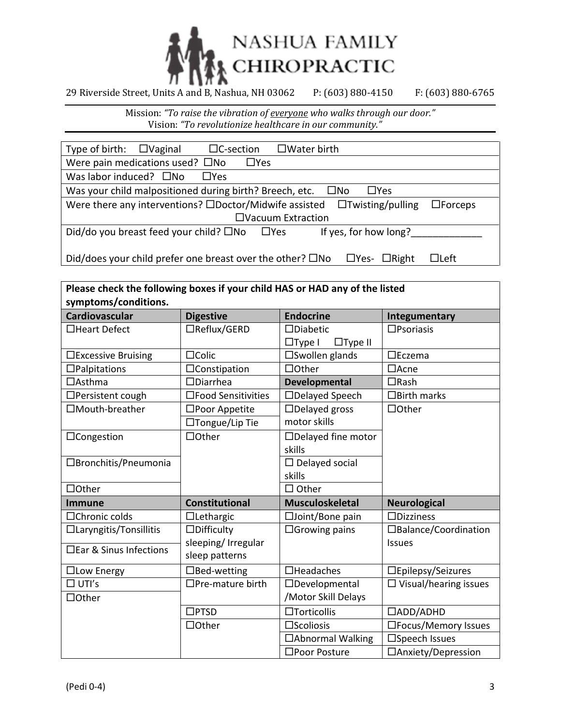

| Type of birth: $\Box$ Vaginal<br>$\Box$ C-section<br>$\Box$ Water birth                                             |
|---------------------------------------------------------------------------------------------------------------------|
| Were pain medications used? $\square$ No<br>$\Box$ Yes                                                              |
| Was labor induced? $\square$ No<br>$\Box$ Yes                                                                       |
| Was your child malpositioned during birth? Breech, etc.<br>$\Box$ Yes<br>$\square$ No                               |
| Were there any interventions? $\square$ Doctor/Midwife assisted $\square$ Twisting/pulling<br>$\square$ Forceps     |
| $\Box$ Vacuum Extraction                                                                                            |
| Did/do you breast feed your child? $\square$ No<br>If yes, for how long?<br>$\Box$ Yes                              |
|                                                                                                                     |
| Did/does your child prefer one breast over the other? $\square$ No<br>$\Box$ Right<br>$\square$ Yes-<br>$\Box$ Left |

| Please check the following boxes if your child HAS or HAD any of the listed<br>symptoms/conditions. |                                       |                                                       |                              |
|-----------------------------------------------------------------------------------------------------|---------------------------------------|-------------------------------------------------------|------------------------------|
| <b>Cardiovascular</b>                                                                               | <b>Digestive</b>                      | <b>Endocrine</b>                                      | Integumentary                |
| □Heart Defect                                                                                       | □Reflux/GERD                          | $\square$ Diabetic<br>$\Box$ Type I<br>$\Box$ Type II | $\square$ Psoriasis          |
| $\square$ Excessive Bruising                                                                        | $\Box$ Colic                          | □Swollen glands                                       | $\square$ Eczema             |
| $\Box$ Palpitations                                                                                 | $\Box$ Constipation                   | $\Box$ Other                                          | $\Box$ Acne                  |
| $\Box$ Asthma                                                                                       | $\Box$ Diarrhea                       | <b>Developmental</b>                                  | $\Box$ Rash                  |
| $\Box$ Persistent cough                                                                             | □Food Sensitivities                   | □Delayed Speech                                       | $\Box$ Birth marks           |
| □Mouth-breather                                                                                     | □Poor Appetite                        | $\Box$ Delayed gross                                  | $\Box$ Other                 |
|                                                                                                     | □Tongue/Lip Tie                       | motor skills                                          |                              |
| □Congestion                                                                                         | $\Box$ Other                          | $\Box$ Delayed fine motor<br>skills                   |                              |
| □Bronchitis/Pneumonia                                                                               |                                       | $\Box$ Delayed social<br>skills                       |                              |
| $\Box$ Other                                                                                        |                                       | $\Box$ Other                                          |                              |
| <b>Immune</b>                                                                                       | <b>Constitutional</b>                 | <b>Musculoskeletal</b>                                | <b>Neurological</b>          |
| □Chronic colds                                                                                      | $\Box$ Lethargic                      | □Joint/Bone pain                                      | $\Box$ Dizziness             |
| □Laryngitis/Tonsillitis                                                                             | $\Box$ Difficulty                     | $\Box$ Growing pains                                  | □Balance/Coordination        |
| □ Ear & Sinus Infections                                                                            | sleeping/ Irregular<br>sleep patterns |                                                       | <b>Issues</b>                |
| □Low Energy                                                                                         | $\Box$ Bed-wetting                    | $\Box$ Headaches                                      | □Epilepsy/Seizures           |
| $\Box$ UTI's                                                                                        | $\Box$ Pre-mature birth               | $\Box$ Developmental                                  | $\Box$ Visual/hearing issues |
| □Other                                                                                              |                                       | /Motor Skill Delays                                   |                              |
|                                                                                                     | $\square$ PTSD                        | $\Box$ Torticollis                                    | □ADD/ADHD                    |
|                                                                                                     | $\Box$ Other                          | $\square$ Scoliosis                                   | □Focus/Memory Issues         |
|                                                                                                     |                                       | □ Abnormal Walking                                    | □Speech Issues               |
|                                                                                                     |                                       | □Poor Posture                                         | □Anxiety/Depression          |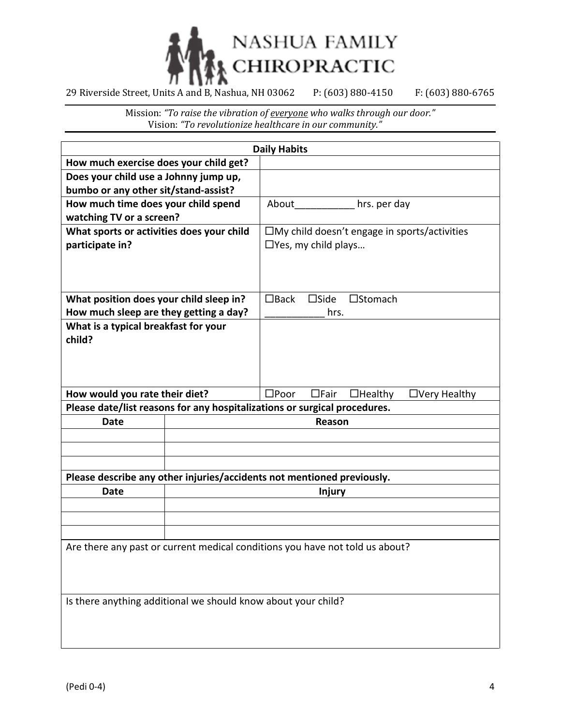

|                                                                              |  | <b>Daily Habits</b>        |                |                                                        |
|------------------------------------------------------------------------------|--|----------------------------|----------------|--------------------------------------------------------|
| How much exercise does your child get?                                       |  |                            |                |                                                        |
| Does your child use a Johnny jump up,                                        |  |                            |                |                                                        |
| bumbo or any other sit/stand-assist?                                         |  |                            |                |                                                        |
| How much time does your child spend                                          |  |                            |                | About hrs. per day                                     |
| watching TV or a screen?                                                     |  |                            |                |                                                        |
| What sports or activities does your child                                    |  |                            |                | $\square$ My child doesn't engage in sports/activities |
| participate in?                                                              |  | $\Box$ Yes, my child plays |                |                                                        |
|                                                                              |  |                            |                |                                                        |
|                                                                              |  |                            |                |                                                        |
|                                                                              |  |                            |                |                                                        |
| What position does your child sleep in?                                      |  | $\Box$ Back                | $\square$ Side | $\square$ Stomach                                      |
| How much sleep are they getting a day?                                       |  |                            | hrs.           |                                                        |
| What is a typical breakfast for your<br>child?                               |  |                            |                |                                                        |
|                                                                              |  |                            |                |                                                        |
|                                                                              |  |                            |                |                                                        |
|                                                                              |  |                            |                |                                                        |
| How would you rate their diet?                                               |  | $\square$ Poor             | $\Box$ Fair    | $\Box$ Healthy<br>$\Box$ Very Healthy                  |
| Please date/list reasons for any hospitalizations or surgical procedures.    |  |                            |                |                                                        |
| <b>Date</b><br>Reason                                                        |  |                            |                |                                                        |
|                                                                              |  |                            |                |                                                        |
|                                                                              |  |                            |                |                                                        |
|                                                                              |  |                            |                |                                                        |
| Please describe any other injuries/accidents not mentioned previously.       |  |                            |                |                                                        |
| <b>Date</b>                                                                  |  |                            | <b>Injury</b>  |                                                        |
|                                                                              |  |                            |                |                                                        |
|                                                                              |  |                            |                |                                                        |
|                                                                              |  |                            |                |                                                        |
| Are there any past or current medical conditions you have not told us about? |  |                            |                |                                                        |
|                                                                              |  |                            |                |                                                        |
|                                                                              |  |                            |                |                                                        |
|                                                                              |  |                            |                |                                                        |
| Is there anything additional we should know about your child?                |  |                            |                |                                                        |
|                                                                              |  |                            |                |                                                        |
|                                                                              |  |                            |                |                                                        |